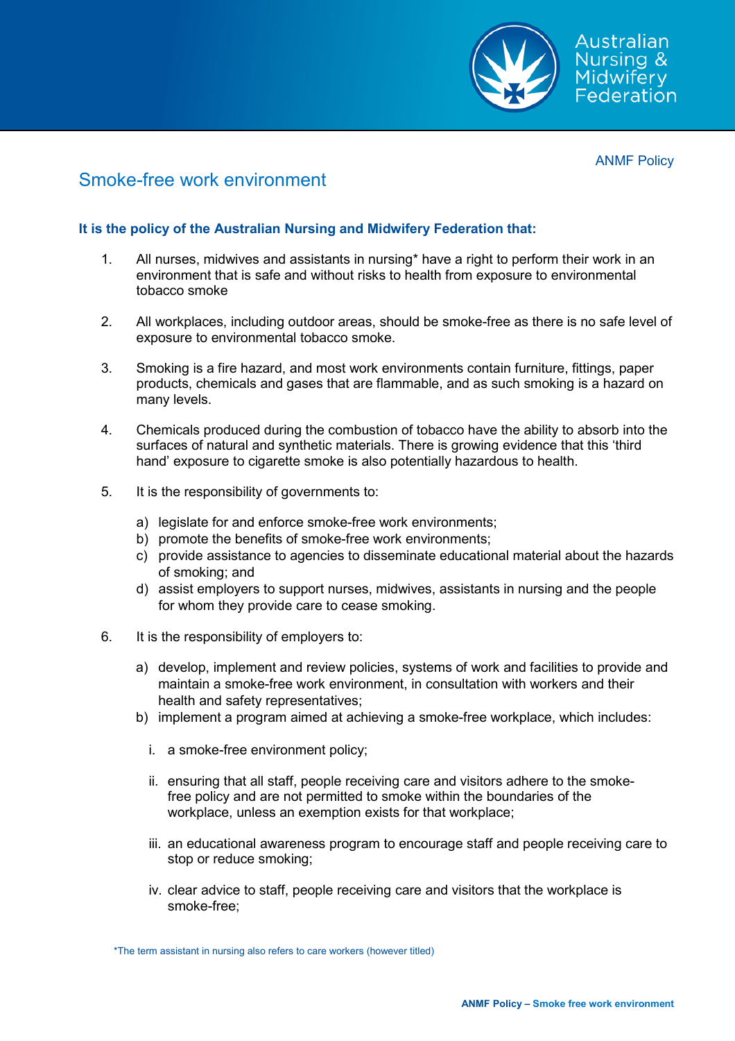

ANMF Policy

## Smoke-free work environment

## **It is the policy of the Australian Nursing and Midwifery Federation that:**

- 1. All nurses, midwives and assistants in nursing\* have a right to perform their work in an environment that is safe and without risks to health from exposure to environmental tobacco smoke
- 2. All workplaces, including outdoor areas, should be smoke-free as there is no safe level of exposure to environmental tobacco smoke.
- 3. Smoking is a fire hazard, and most work environments contain furniture, fittings, paper products, chemicals and gases that are flammable, and as such smoking is a hazard on many levels.
- 4. Chemicals produced during the combustion of tobacco have the ability to absorb into the surfaces of natural and synthetic materials. There is growing evidence that this 'third hand' exposure to cigarette smoke is also potentially hazardous to health.
- 5. It is the responsibility of governments to:
	- a) legislate for and enforce smoke-free work environments;
	- b) promote the benefits of smoke-free work environments;
	- c) provide assistance to agencies to disseminate educational material about the hazards of smoking; and
	- d) assist employers to support nurses, midwives, assistants in nursing and the people for whom they provide care to cease smoking.
- 6. It is the responsibility of employers to:
	- a) develop, implement and review policies, systems of work and facilities to provide and maintain a smoke-free work environment, in consultation with workers and their health and safety representatives;
	- b) implement a program aimed at achieving a smoke-free workplace, which includes:
		- i. a smoke-free environment policy;
		- ii. ensuring that all staff, people receiving care and visitors adhere to the smokefree policy and are not permitted to smoke within the boundaries of the workplace, unless an exemption exists for that workplace;
		- iii. an educational awareness program to encourage staff and people receiving care to stop or reduce smoking;
		- iv. clear advice to staff, people receiving care and visitors that the workplace is smoke-free;

<sup>\*</sup>The term assistant in nursing also refers to care workers (however titled)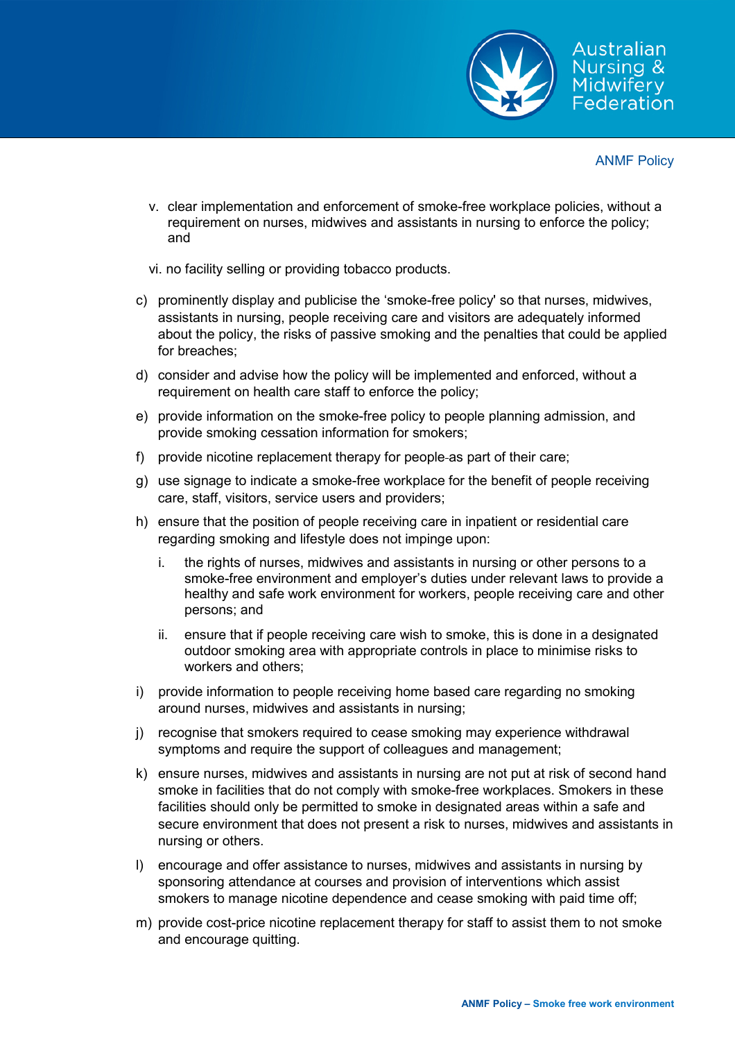

ANMF Policy

- v. clear implementation and enforcement of smoke-free workplace policies, without a requirement on nurses, midwives and assistants in nursing to enforce the policy; and
- vi. no facility selling or providing tobacco products.
- c) prominently display and publicise the 'smoke-free policy' so that nurses, midwives, assistants in nursing, people receiving care and visitors are adequately informed about the policy, the risks of passive smoking and the penalties that could be applied for breaches;
- d) consider and advise how the policy will be implemented and enforced, without a requirement on health care staff to enforce the policy;
- e) provide information on the smoke-free policy to people planning admission, and provide smoking cessation information for smokers;
- f) provide nicotine replacement therapy for people as part of their care;
- g) use signage to indicate a smoke-free workplace for the benefit of people receiving care, staff, visitors, service users and providers;
- h) ensure that the position of people receiving care in inpatient or residential care regarding smoking and lifestyle does not impinge upon:
	- i. the rights of nurses, midwives and assistants in nursing or other persons to a smoke-free environment and employer's duties under relevant laws to provide a healthy and safe work environment for workers, people receiving care and other persons; and
	- ii. ensure that if people receiving care wish to smoke, this is done in a designated outdoor smoking area with appropriate controls in place to minimise risks to workers and others;
- i) provide information to people receiving home based care regarding no smoking around nurses, midwives and assistants in nursing;
- j) recognise that smokers required to cease smoking may experience withdrawal symptoms and require the support of colleagues and management;
- k) ensure nurses, midwives and assistants in nursing are not put at risk of second hand smoke in facilities that do not comply with smoke-free workplaces. Smokers in these facilities should only be permitted to smoke in designated areas within a safe and secure environment that does not present a risk to nurses, midwives and assistants in nursing or others.
- l) encourage and offer assistance to nurses, midwives and assistants in nursing by sponsoring attendance at courses and provision of interventions which assist smokers to manage nicotine dependence and cease smoking with paid time off;
- m) provide cost-price nicotine replacement therapy for staff to assist them to not smoke and encourage quitting.